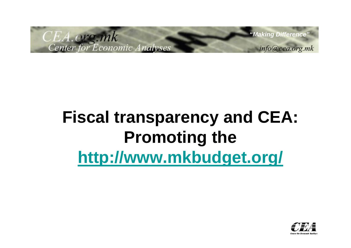CEA.org.mk nomic Analyses

info@cea.org.mk

# **Fiscal transparency and CEA: Promoting the http://www.mkbudget.org/**

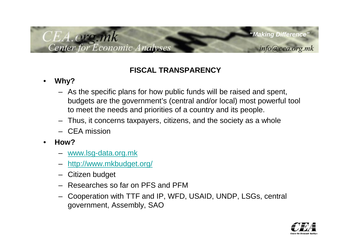## omic Analyses

info@cea.org.mk

## **FISCAL TRANSPARENCY**

## • **Why?**

EA.org

- As the specific plans for how public funds will be raised and spent, budgets are the government's (central and/or local) most powerful tool to meet the needs and priorities of a country and its people.
- Thus, it concerns taxpayers, citizens, and the society as a whole
- CEA mission
- **How?**
	- www.lsg-data.org.mk
	- http://www.mkbudget.org/
	- Citizen budget
	- Researches so far on PFS and PFM
	- Cooperation with TTF and IP, WFD, USAID, UNDP, LSGs, central government, Assembly, SAO

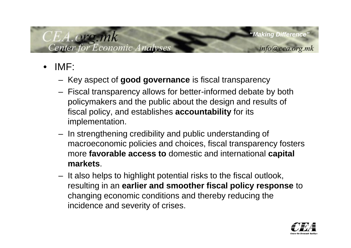# 'EA.org mic Analyses

info@cea.org.mk

- IMF:
	- Key aspect of **good governance** is fiscal transparency
	- Fiscal transparency allows for better-informed debate by both policymakers and the public about the design and results of fiscal policy, and establishes **accountability** for its implementation.
	- In strengthening credibility and public understanding of macroeconomic policies and choices, fiscal transparency fosters more **favorable access to** domestic and international **capital markets**.
	- It also helps to highlight potential risks to the fiscal outlook, resulting in an **earlier and smoother fiscal policy response** to changing economic conditions and thereby reducing the incidence and severity of crises.

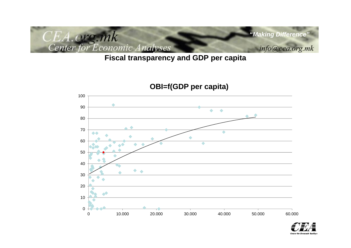

**Fiscal transparency and GDP per capita**



## **OBI=f(GDP per capita)**

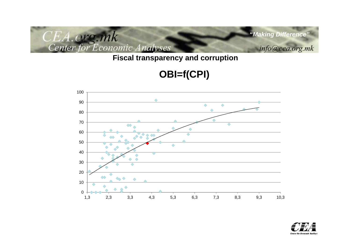

## **Fiscal transparency and corruption**

**OBI=f(CPI)**



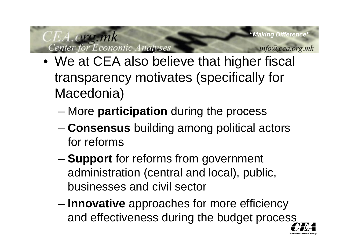nomic Analyses

*EA.ore* 

info@cea.org.mk

- We at CEA also believe that higher fiscal transparency motivates (specifically for Macedonia)
	- More **participation** during the process
	- **Consensus** building among political actors for reforms
	- **Support** for reforms from government administration (central and local), public, businesses and civil sector
	- **Innovative** approaches for more efficiency and effectiveness during the budget process

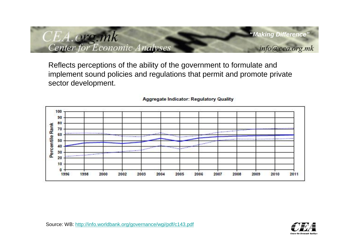# CEA.org.mk Center for Economic Analyses

info@cea.org.mk

Reflects perceptions of the ability of the government to formulate and implement sound policies and regulations that permit and promote private sector development.



#### **Aggregate Indicator: Regulatory Quality**

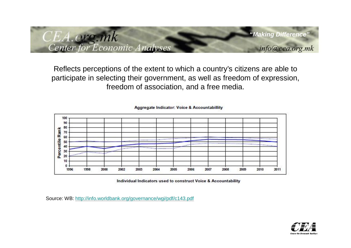CEA.org.mk **Center for Economic Analyses** 

info@cea.org.mk

Reflects perceptions of the extent to which a country's citizens are able to participate in selecting their government, as well as freedom of expression, freedom of association, and a free media.



**Aggregate Indicator: Voice & Accountabillity** 

Individual Indicators used to construct Voice & Accountability

Source: WB: http://info.worldbank.org/governance/wgi/pdf/c143.pdf

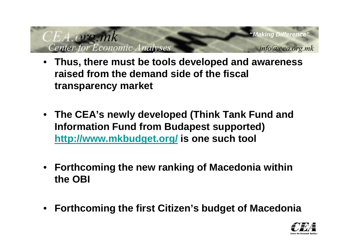## $CEA.org.mk$ nomic Analyses

info@cea.org.mk

*"Making Difference"*

- **Thus, there must be tools developed and awareness raised from the demand side of the fiscal transparency market**
- **The CEA's newly developed (Think Tank Fund and Information Fund from Budapest supported) http://www.mkbudget.org/ is one such tool**
- **Forthcoming the new ranking of Macedonia within the OBI**
- **Forthcoming the first Citizen's budget of Macedonia**

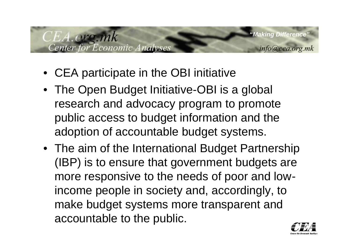## mic Analyses

 $EA. ore$ 

info@cea.org.mk

- CEA participate in the OBI initiative
- The Open Budget Initiative-OBI is a global research and advocacy program to promote public access to budget information and the adoption of accountable budget systems.
- The aim of the International Budget Partnership (IBP) is to ensure that government budgets are more responsive to the needs of poor and lowincome people in society and, accordingly, to make budget systems more transparent and accountable to the public.

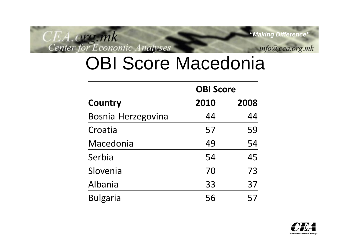CEA.org.mk<br>Center for Economic Analyses

info@cea.org.mk

# OBI Score Macedonia

|                    | <b>OBI Score</b> |           |
|--------------------|------------------|-----------|
| <b>Country</b>     | 2010             | 2008      |
| Bosnia-Herzegovina | 44               | 44        |
| Croatia            | 57               | <b>59</b> |
| Macedonia          | 49               | 54        |
| Serbia             | 54               | 45        |
| Slovenia           | 70               | 73        |
| Albania            | 33               | 37        |
| Bulgaria           | 56               | 57        |

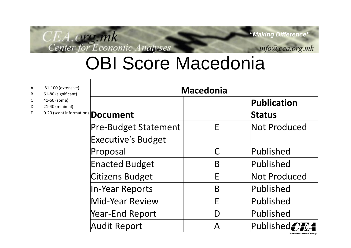CEA.org.mk<br>Center for Economic Analyses

info@cea.org.mk

# OBI Score Macedonia

| Α<br>В | 81-100 (extensive)<br>61-80 (significant) | <b>Macedonia</b>            |                           |                     |  |
|--------|-------------------------------------------|-----------------------------|---------------------------|---------------------|--|
| С<br>D | 41-60 (some)<br>21-40 (minimal)           |                             |                           | Publication         |  |
| E      | 0-20 (scant information) Document         |                             |                           | <b>Status</b>       |  |
|        |                                           | <b>Pre-Budget Statement</b> | E                         | Not Produced        |  |
|        |                                           | <b>Executive's Budget</b>   |                           |                     |  |
|        |                                           | Proposal                    |                           | Published           |  |
|        |                                           | <b>Enacted Budget</b>       | B                         | Published           |  |
|        |                                           | <b>Citizens Budget</b>      | E                         | <b>Not Produced</b> |  |
|        |                                           | In-Year Reports             | B                         | Published           |  |
|        |                                           | Mid-Year Review             | E                         | Published           |  |
|        |                                           | <b>Year-End Report</b>      | D                         | Published           |  |
|        |                                           | Audit Report                | $\boldsymbol{\mathsf{A}}$ | Published $C$       |  |